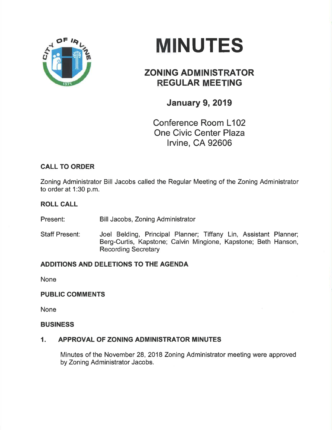

# **MINUTES**

# ZONING ADMINISTRATOR REGULAR MEETING

## January 9, 2019

Conference Room L102 One Civic Center Plaza lrvine, CA 92606

## CALL TO ORDER

Zoning Administrator Bill Jacobs called the Regular Meeting of the Zoning Administrator to order at 1:30 p.m.

#### ROLL CALL

Present: Bill Jacobs, Zoning Administrator

Staff Present: Joel Belding, Principal Planner; Tiffany Lin, Assistant Planner; Berg-Curtis, Kapstone; Calvin Mingione, Kapstone; Beth Hanson, Recording Secretary

## ADDITIONS AND DELETIONS TO THE AGENDA

None

#### PUBLIC COMMENTS

None

#### BUSINESS

#### 1. APPROVAL OF ZONING ADMINISTRATOR MINUTES

Minutes of the November 28,2018 Zoning Administrator meeting were approved by Zoning Administrator Jacobs.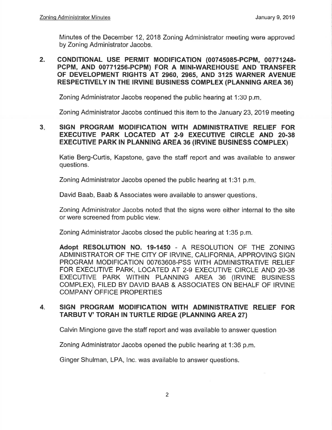Minutes of the December 12, 2018 Zoning Administrator meeting were approved by Zoning Administrator Jacobs,

#### coNDlTloNAL USE PERMIT MOD|F|CATION (00745085-PCPM, 00771248- PCPM, AND 00771256.PCPM) FOR A M|N|.WAREHOUSE AND TRANSFER OF DEVELOPMENT RIGHTS AT 2960, 2965, AND 3125 WARNER AVENUE RESPECTIVELY IN THE IRVINE BUSINESS COMPLEX (PLANNING AREA 36) 2.

Zoning Administrator Jacobs reopened the public hearing at 1:30 p.m

Zoning Administrator Jacobs continued this item to the January 23,2019 meeting

#### 3. SIGN PROGRAM MODIFICATION WITH ADMINISTRATIVE RELIEF FOR EXECUTIVE PARK LOCATED AT 2-9 EXECUTIVE CIRCLE AND 20-38 EXECUTIVE PARK IN PLANNING AREA 36 (IRVINE BUSINESS COMPLEX)

Katie Berg-Curtis, Kapstone, gave the staff report and was available to answer questions.

Zoning Administrator Jacobs opened the public hearing at 1:31 p.m

David Baab, Baab & Associates were available to answer questions

Zoning Administrator Jacobs noted that the signs were either internal to the site or were screened from public view.

Zoning Administrator Jacobs closed the public hearing at 1:35 p.m.

Adopt RESOLUTION NO. 19-1450 - A RESOLUTION OF THE ZONING ADMINISTRATOR OF THE CITY OF IRVINE, CALIFORNIA, APPROVING SIGN PROGRAM MODIFICATION 00763608-PSS WITH ADMINISTRATIVE RELIEF FOR EXECUTIVE PARK, LOCATED AT 2-9 EXECUTIVE CIRCLE AND 20-38 EXECUTIVE PARK WITHIN PLANNING AREA 36 (IRVINE BUSINESS COMPLEX), FILED BY DAVID BAAB & ASSOCIATES ON BEHALF OF IRVINE COMPANY OFFICE PROPERTIES

#### 4. SIGN PROGRAM MODIFICATION WITH ADMINISTRATIVE RELIEF FOR TARBUT V' TORAH IN TURTLE RIDGE (PLANNING AREA 27)

Calvin Mingione gave the staff report and was available to answer question

Zoning Administrator Jacobs opened the public hearing at 1:36 p.m.

Ginger Shulman, LPA, lnc. was available to answer questions.